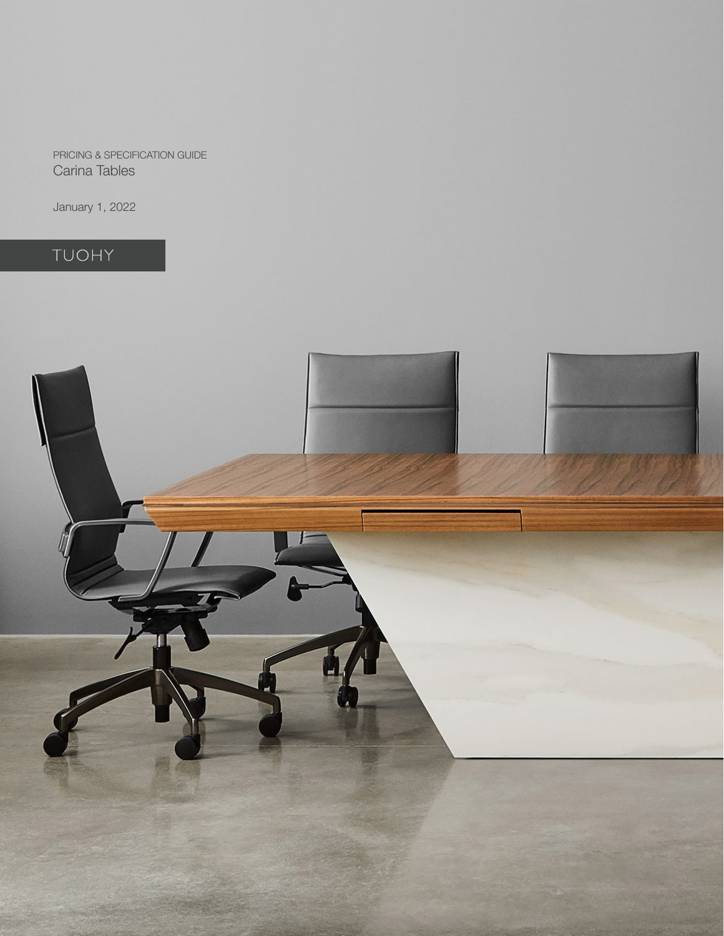PRICING & SPECIFICATION GUIDE Carina Tables

January 1, 2022

# TUOHY

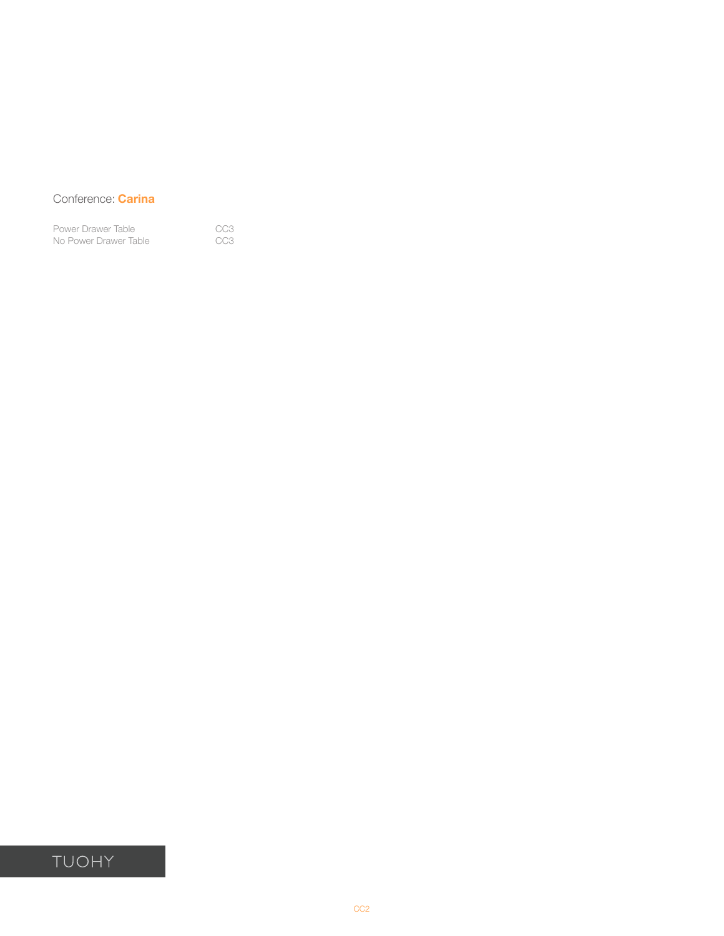### Conference: **Carina**

[Power Drawer Table](#page-2-0) **CC3** [No Power Drawer Table](#page-2-0) **CC3** 

## TUOHY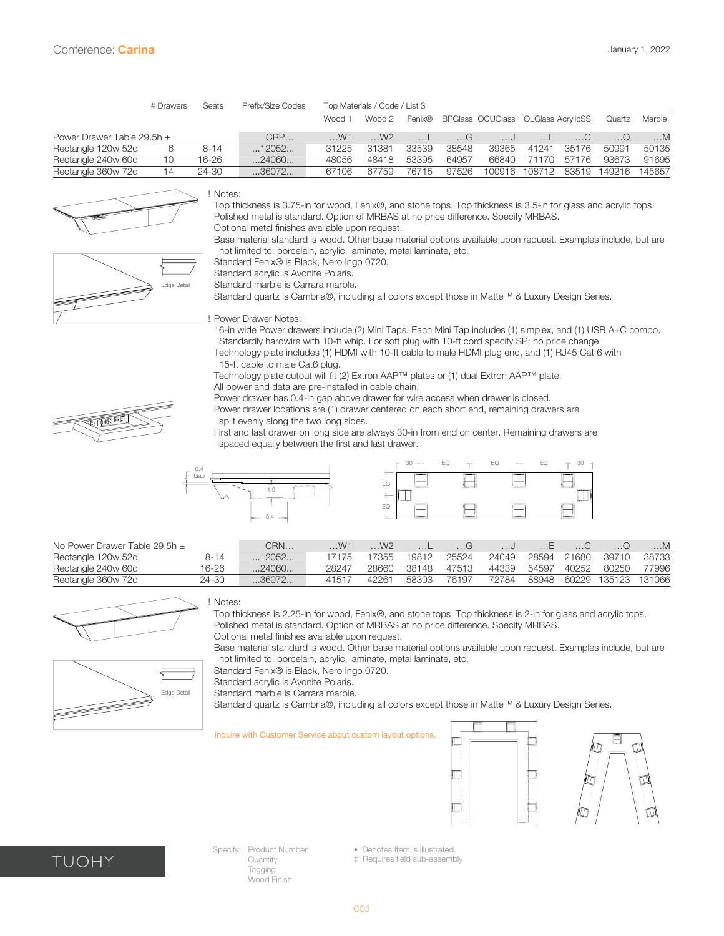<span id="page-2-0"></span>

|                                | # Drawers | Seats    | Prefix/Size Codes | Top Materials / Code / List \$ |        |        |           |                                    |           |           |        |           |  |
|--------------------------------|-----------|----------|-------------------|--------------------------------|--------|--------|-----------|------------------------------------|-----------|-----------|--------|-----------|--|
|                                |           |          |                   | Wood 1                         | Wood 2 | Fenix® |           | BPGlass OCUGlass OLGlass AcrylicSS |           |           | Quartz | Marble    |  |
| Power Drawer Table 29.5h $\pm$ |           |          | CRP               | $$ W1                          | W2     |        | $\dots$ G | ل.                                 | $\dots E$ | $\dots C$ |        | $\dots M$ |  |
| Rectangle 120w 52d             | 6         | $8 - 14$ | $\dots$ 12052     | 31225                          | 31381  | 33539  | 38548     | 39365                              | 41241     | 35176     | 50991  | 50135     |  |
| Rectangle 240w 60d             | 10        | 16-26    | 24060             | 48056                          | 48418  | 53395  | 64957     | 66840                              | 71170     | 57176     | 93673  | 91695     |  |
| Rectangle 360w 72d             | 14        | 24-30    | 36072             | 67106                          | 67759  | 76715  | 97526     | 100916                             | 108712    | 83519     | 149216 | 145657    |  |



### ! Notes:

Top thickness is 3.75-in for wood, Fenix®, and stone tops. Top thickness is 3.5-in for glass and acrylic tops. Polished metal is standard. Option of MRBAS at no price difference. Specify MRBAS. Optional metal finishes available upon request.

 Base material standard is wood. Other base material options available upon request. Examples include, but are not limited to: porcelain, acrylic, laminate, metal laminate, etc.

Standard Fenix® is Black, Nero Ingo 0720.

 Standard acrylic is Avonite Polaris.

Standard marble is Carrara marble.

 Standard quartz is Cambria®, including all colors except those in Matte™ & Luxury Design Series.

! Power Drawer Notes:

16-in wide Power drawers include (2) Mini Taps. Each Mini Tap includes (1) simplex, and (1) USB A+C combo. Standardly hardwire with 10-ft whip. For soft plug with 10-ft cord specify SP; no price change.

Technology plate includes (1) HDMI with 10-ft cable to male HDMI plug end, and (1) RJ45 Cat 6 with 15-ft cable to male Cat6 plug.

 Technology plate cutout will fit (2) Extron AAP™ plates or (1) dual Extron AAP™ plate.

All power and data are pre-installed in cable chain.

 Power drawer has 0.4-in gap above drawer for wire access when drawer is closed.

Power drawer locations are (1) drawer centered on each short end, remaining drawers are split evenly along the two long sides.

First and last drawer on long side are always 30-in from end on center. Remaining drawers are spaced equally between the first and last drawer.





| No Power Drawer Table 29.5h $\pm$ |       | CRN   | .W1   | W2    |       | $\ldots$ G |       |       |       |                     |       |
|-----------------------------------|-------|-------|-------|-------|-------|------------|-------|-------|-------|---------------------|-------|
| Rectangle 120w 52d                | 8-14  | 12052 | 17175 | 17355 | 19812 | 25524      | 24049 | 28594 | 21680 | 39710               | 38733 |
| Rectangle 240w 60d                | 16-26 | 24060 | 28247 | 28660 | 38148 | 47513      | 44339 | 54597 | 40252 | 80250               | 77996 |
| Rectangle 360w 72d                | 24-30 | 36072 | 41517 | 42261 | 58303 | 76197      | 72784 | 88948 |       | 60229 135123 131066 |       |



#### ! Notes:

Edge Detail

Top thickness is 2.25-in for wood, Fenix®, and stone tops. Top thickness is 2-in for glass and acrylic tops. Polished metal is standard. Option of MRBAS at no price difference. Specify MRBAS.

 Optional metal finishes available upon request.

 Base material standard is wood. Other base material options available upon request. Examples include, but are not limited to: porcelain, acrylic, laminate, metal laminate, etc.

Standard Fenix® is Black, Nero Ingo 0720.

 Standard acrylic is Avonite Polaris.

Standard marble is Carrara marble.

 Standard quartz is Cambria®, including all colors except those in Matte™ & Luxury Design Series.

#### Inquire with Customer Service about custom layout options.







Specify: Product Number **Quantity** Tagging Wood Finish

• Denotes Item is illustrated.

‡ Requires field sub-assembly